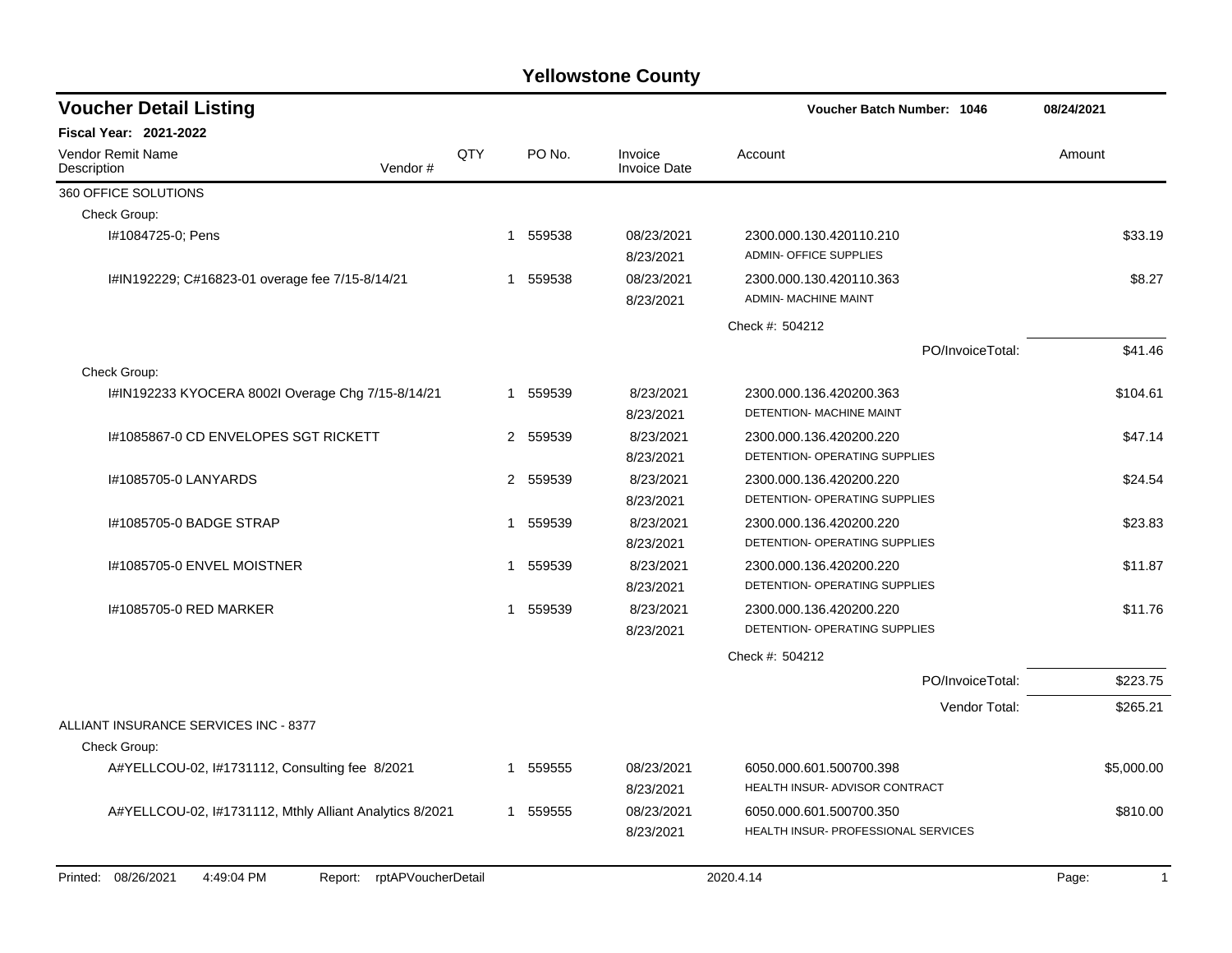| <b>Voucher Detail Listing</b>                                         |             |          |                                | 08/24/2021                                                     |                       |
|-----------------------------------------------------------------------|-------------|----------|--------------------------------|----------------------------------------------------------------|-----------------------|
| <b>Fiscal Year: 2021-2022</b>                                         |             |          |                                |                                                                |                       |
| <b>Vendor Remit Name</b><br>Vendor#<br>Description                    | QTY         | PO No.   | Invoice<br><b>Invoice Date</b> | Account                                                        | Amount                |
| 360 OFFICE SOLUTIONS                                                  |             |          |                                |                                                                |                       |
| Check Group:                                                          |             |          |                                |                                                                |                       |
| I#1084725-0; Pens                                                     | 1           | 559538   | 08/23/2021<br>8/23/2021        | 2300.000.130.420110.210<br><b>ADMIN- OFFICE SUPPLIES</b>       | \$33.19               |
| I#IN192229; C#16823-01 overage fee 7/15-8/14/21                       | 1           | 559538   | 08/23/2021<br>8/23/2021        | 2300.000.130.420110.363<br><b>ADMIN- MACHINE MAINT</b>         | \$8.27                |
|                                                                       |             |          |                                | Check #: 504212                                                |                       |
|                                                                       |             |          |                                | PO/InvoiceTotal:                                               | \$41.46               |
| Check Group:                                                          |             |          |                                |                                                                |                       |
| I#IN192233 KYOCERA 8002I Overage Chg 7/15-8/14/21                     |             | 1 559539 | 8/23/2021<br>8/23/2021         | 2300.000.136.420200.363<br>DETENTION- MACHINE MAINT            | \$104.61              |
| 1#1085867-0 CD ENVELOPES SGT RICKETT                                  |             | 2 559539 | 8/23/2021<br>8/23/2021         | 2300.000.136.420200.220<br>DETENTION- OPERATING SUPPLIES       | \$47.14               |
| I#1085705-0 LANYARDS                                                  |             | 2 559539 | 8/23/2021<br>8/23/2021         | 2300.000.136.420200.220<br>DETENTION- OPERATING SUPPLIES       | \$24.54               |
| I#1085705-0 BADGE STRAP                                               | 1           | 559539   | 8/23/2021<br>8/23/2021         | 2300.000.136.420200.220<br>DETENTION- OPERATING SUPPLIES       | \$23.83               |
| I#1085705-0 ENVEL MOISTNER                                            | 1           | 559539   | 8/23/2021<br>8/23/2021         | 2300.000.136.420200.220<br>DETENTION- OPERATING SUPPLIES       | \$11.87               |
| I#1085705-0 RED MARKER                                                | 1           | 559539   | 8/23/2021<br>8/23/2021         | 2300.000.136.420200.220<br>DETENTION- OPERATING SUPPLIES       | \$11.76               |
|                                                                       |             |          |                                | Check #: 504212                                                |                       |
|                                                                       |             |          |                                | PO/InvoiceTotal:                                               | \$223.75              |
|                                                                       |             |          |                                | Vendor Total:                                                  | \$265.21              |
| ALLIANT INSURANCE SERVICES INC - 8377                                 |             |          |                                |                                                                |                       |
| Check Group:                                                          |             |          |                                |                                                                |                       |
| A#YELLCOU-02, I#1731112, Consulting fee 8/2021                        |             | 559555   | 08/23/2021<br>8/23/2021        | 6050.000.601.500700.398<br>HEALTH INSUR- ADVISOR CONTRACT      | \$5,000.00            |
| A#YELLCOU-02, I#1731112, Mthly Alliant Analytics 8/2021               | $\mathbf 1$ | 559555   | 08/23/2021<br>8/23/2021        | 6050.000.601.500700.350<br>HEALTH INSUR- PROFESSIONAL SERVICES | \$810.00              |
| 08/26/2021<br>4:49:04 PM<br>rptAPVoucherDetail<br>Printed:<br>Report: |             |          |                                | 2020.4.14                                                      | Page:<br>$\mathbf{1}$ |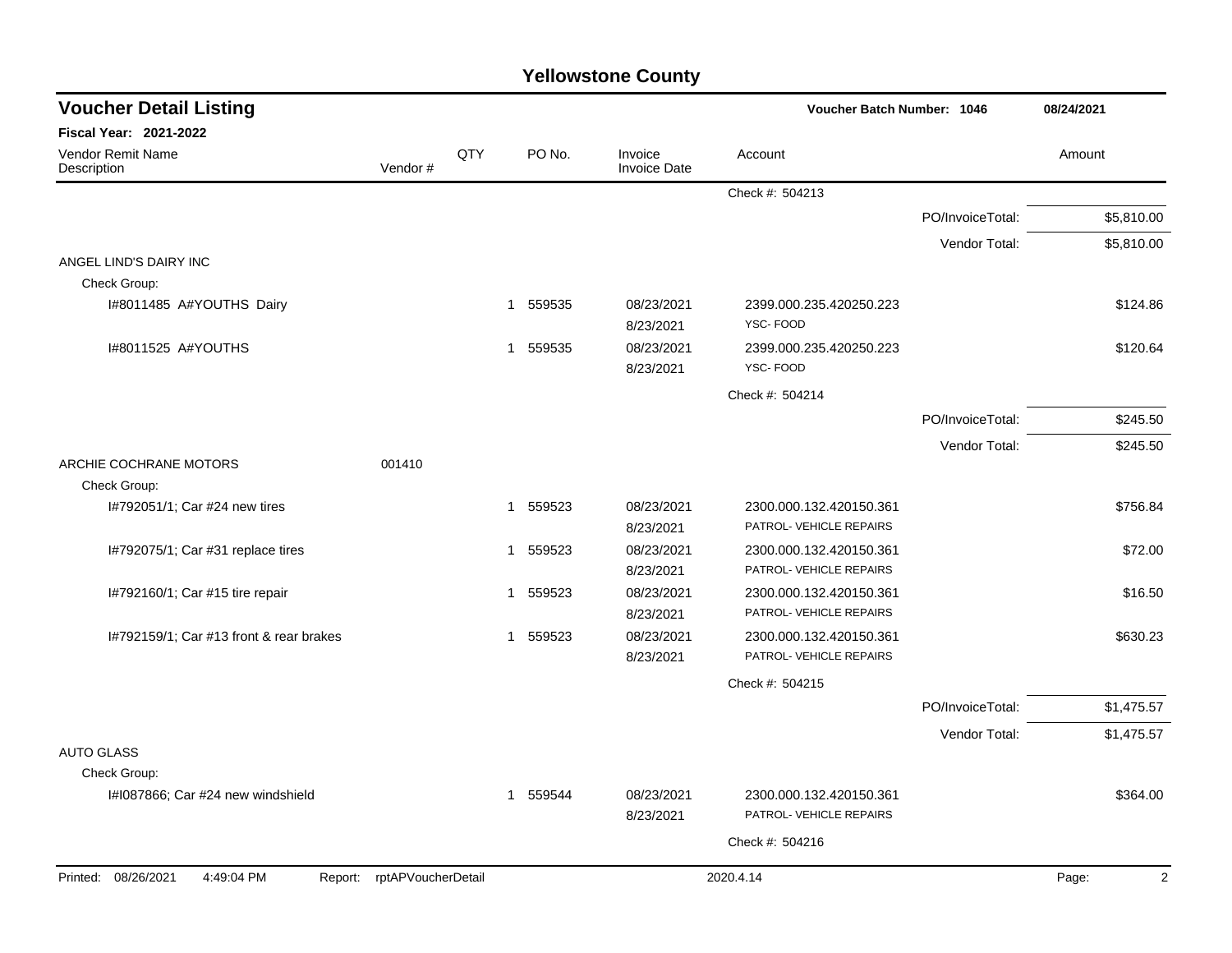| <b>Yellowstone County</b> |  |
|---------------------------|--|
|---------------------------|--|

| <b>Voucher Detail Listing</b>           |                            |     |                        |                                | <b>Voucher Batch Number: 1046</b>                  |                  | 08/24/2021              |  |
|-----------------------------------------|----------------------------|-----|------------------------|--------------------------------|----------------------------------------------------|------------------|-------------------------|--|
| Fiscal Year: 2021-2022                  |                            |     |                        |                                |                                                    |                  |                         |  |
| Vendor Remit Name<br>Description        | Vendor#                    | QTY | PO No.                 | Invoice<br><b>Invoice Date</b> | Account                                            |                  | Amount                  |  |
|                                         |                            |     |                        |                                | Check #: 504213                                    |                  |                         |  |
|                                         |                            |     |                        |                                |                                                    | PO/InvoiceTotal: | \$5,810.00              |  |
|                                         |                            |     |                        |                                |                                                    | Vendor Total:    | \$5,810.00              |  |
| ANGEL LIND'S DAIRY INC<br>Check Group:  |                            |     |                        |                                |                                                    |                  |                         |  |
| I#8011485 A#YOUTHS Dairy                |                            |     | 559535<br>1            | 08/23/2021<br>8/23/2021        | 2399.000.235.420250.223<br>YSC-FOOD                |                  | \$124.86                |  |
| I#8011525 A#YOUTHS                      |                            |     | 559535<br>$\mathbf{1}$ | 08/23/2021<br>8/23/2021        | 2399.000.235.420250.223<br>YSC-FOOD                |                  | \$120.64                |  |
|                                         |                            |     |                        |                                | Check #: 504214                                    |                  |                         |  |
|                                         |                            |     |                        |                                |                                                    | PO/InvoiceTotal: | \$245.50                |  |
|                                         |                            |     |                        |                                |                                                    | Vendor Total:    | \$245.50                |  |
| ARCHIE COCHRANE MOTORS<br>Check Group:  | 001410                     |     |                        |                                |                                                    |                  |                         |  |
| I#792051/1; Car #24 new tires           |                            |     | 1 559523               | 08/23/2021<br>8/23/2021        | 2300.000.132.420150.361<br>PATROL- VEHICLE REPAIRS |                  | \$756.84                |  |
| I#792075/1; Car #31 replace tires       |                            |     | 559523<br>1            | 08/23/2021<br>8/23/2021        | 2300.000.132.420150.361<br>PATROL- VEHICLE REPAIRS |                  | \$72.00                 |  |
| I#792160/1; Car #15 tire repair         |                            |     | 559523<br>$\mathbf 1$  | 08/23/2021<br>8/23/2021        | 2300.000.132.420150.361<br>PATROL- VEHICLE REPAIRS |                  | \$16.50                 |  |
| 1#792159/1; Car #13 front & rear brakes |                            |     | 559523<br>$\mathbf{1}$ | 08/23/2021<br>8/23/2021        | 2300.000.132.420150.361<br>PATROL- VEHICLE REPAIRS |                  | \$630.23                |  |
|                                         |                            |     |                        |                                | Check #: 504215                                    |                  |                         |  |
|                                         |                            |     |                        |                                |                                                    | PO/InvoiceTotal: | \$1,475.57              |  |
|                                         |                            |     |                        |                                |                                                    | Vendor Total:    | \$1,475.57              |  |
| <b>AUTO GLASS</b>                       |                            |     |                        |                                |                                                    |                  |                         |  |
| Check Group:                            |                            |     |                        |                                |                                                    |                  |                         |  |
| I#1087866; Car #24 new windshield       |                            |     | 559544<br>1            | 08/23/2021<br>8/23/2021        | 2300.000.132.420150.361<br>PATROL- VEHICLE REPAIRS |                  | \$364.00                |  |
|                                         |                            |     |                        |                                | Check #: 504216                                    |                  |                         |  |
| Printed: 08/26/2021<br>4:49:04 PM       | Report: rptAPVoucherDetail |     |                        |                                | 2020.4.14                                          |                  | $\overline{2}$<br>Page: |  |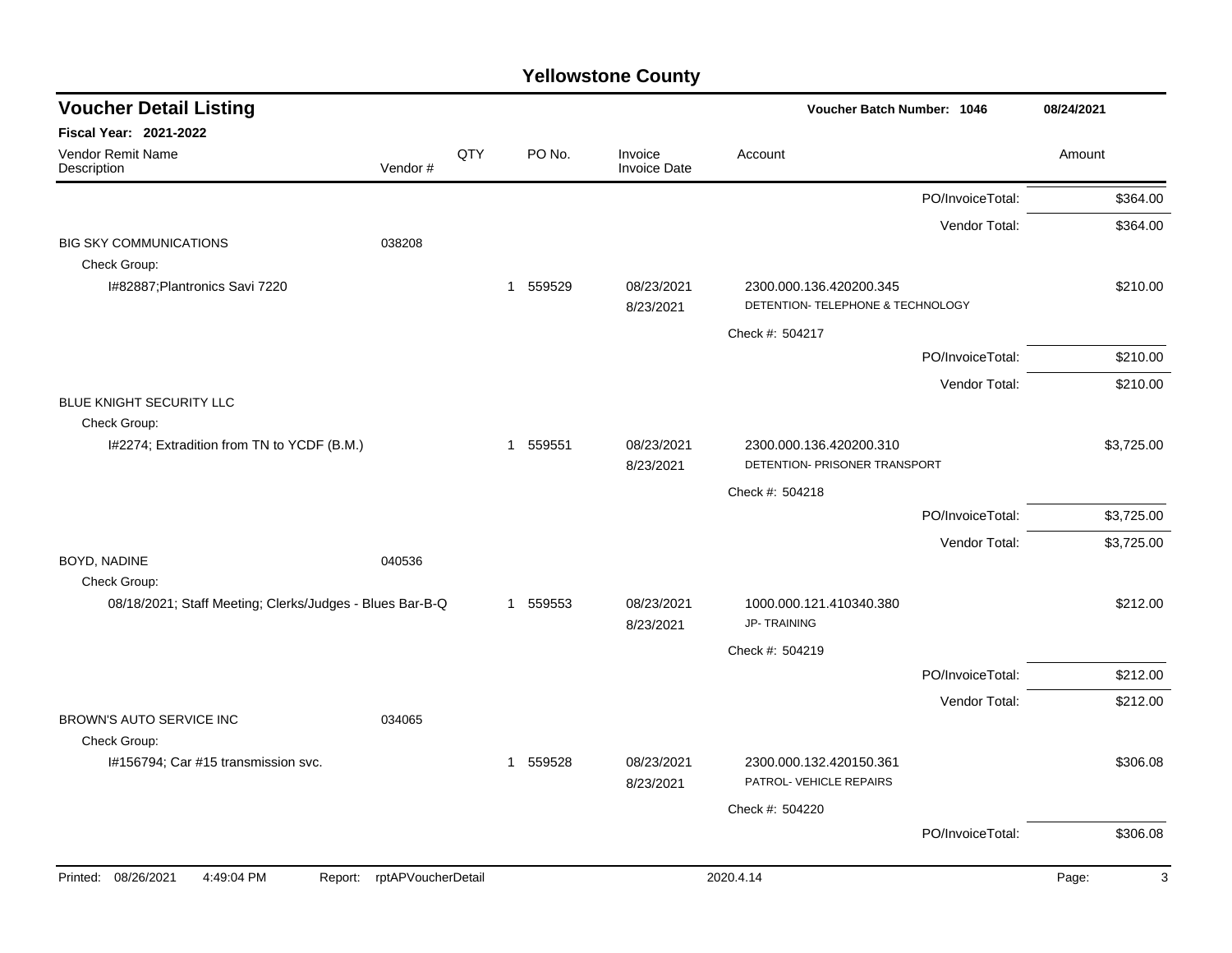| <b>Voucher Detail Listing</b>                                            |                    |     |                        |                                | Voucher Batch Number: 1046                                   |                  | 08/24/2021 |
|--------------------------------------------------------------------------|--------------------|-----|------------------------|--------------------------------|--------------------------------------------------------------|------------------|------------|
| Fiscal Year: 2021-2022                                                   |                    |     |                        |                                |                                                              |                  |            |
| Vendor Remit Name<br>Description                                         | Vendor#            | QTY | PO No.                 | Invoice<br><b>Invoice Date</b> | Account                                                      |                  | Amount     |
|                                                                          |                    |     |                        |                                |                                                              | PO/InvoiceTotal: | \$364.00   |
|                                                                          |                    |     |                        |                                |                                                              | Vendor Total:    | \$364.00   |
| <b>BIG SKY COMMUNICATIONS</b><br>038208                                  |                    |     |                        |                                |                                                              |                  |            |
| Check Group:                                                             |                    |     |                        |                                |                                                              |                  |            |
| I#82887; Plantronics Savi 7220                                           |                    |     | 559529<br>$\mathbf{1}$ | 08/23/2021<br>8/23/2021        | 2300.000.136.420200.345<br>DETENTION- TELEPHONE & TECHNOLOGY |                  | \$210.00   |
|                                                                          |                    |     |                        |                                | Check #: 504217                                              |                  |            |
|                                                                          |                    |     |                        |                                |                                                              | PO/InvoiceTotal: | \$210.00   |
|                                                                          |                    |     |                        |                                |                                                              | Vendor Total:    | \$210.00   |
| BLUE KNIGHT SECURITY LLC                                                 |                    |     |                        |                                |                                                              |                  |            |
| Check Group:                                                             |                    |     |                        |                                |                                                              |                  |            |
| I#2274; Extradition from TN to YCDF (B.M.)                               |                    |     | 1 559551               | 08/23/2021<br>8/23/2021        | 2300.000.136.420200.310<br>DETENTION- PRISONER TRANSPORT     |                  | \$3,725.00 |
|                                                                          |                    |     |                        |                                | Check #: 504218                                              |                  |            |
|                                                                          |                    |     |                        |                                |                                                              | PO/InvoiceTotal: | \$3,725.00 |
|                                                                          |                    |     |                        |                                |                                                              | Vendor Total:    | \$3,725.00 |
| BOYD, NADINE<br>040536                                                   |                    |     |                        |                                |                                                              |                  |            |
| Check Group:<br>08/18/2021; Staff Meeting; Clerks/Judges - Blues Bar-B-Q |                    |     | 559553<br>1            | 08/23/2021                     | 1000.000.121.410340.380                                      |                  | \$212.00   |
|                                                                          |                    |     |                        | 8/23/2021                      | <b>JP-TRAINING</b>                                           |                  |            |
|                                                                          |                    |     |                        |                                | Check #: 504219                                              |                  |            |
|                                                                          |                    |     |                        |                                |                                                              | PO/InvoiceTotal: | \$212.00   |
|                                                                          |                    |     |                        |                                |                                                              | Vendor Total:    | \$212.00   |
| BROWN'S AUTO SERVICE INC<br>034065                                       |                    |     |                        |                                |                                                              |                  |            |
| Check Group:<br>I#156794; Car #15 transmission svc.                      |                    |     |                        |                                |                                                              |                  |            |
|                                                                          |                    |     | 1 559528               | 08/23/2021<br>8/23/2021        | 2300.000.132.420150.361<br>PATROL- VEHICLE REPAIRS           |                  | \$306.08   |
|                                                                          |                    |     |                        |                                | Check #: 504220                                              |                  |            |
|                                                                          |                    |     |                        |                                |                                                              | PO/InvoiceTotal: | \$306.08   |
| Printed: 08/26/2021<br>4:49:04 PM<br>Report:                             | rptAPVoucherDetail |     |                        |                                | 2020.4.14                                                    |                  | 3<br>Page: |
|                                                                          |                    |     |                        |                                |                                                              |                  |            |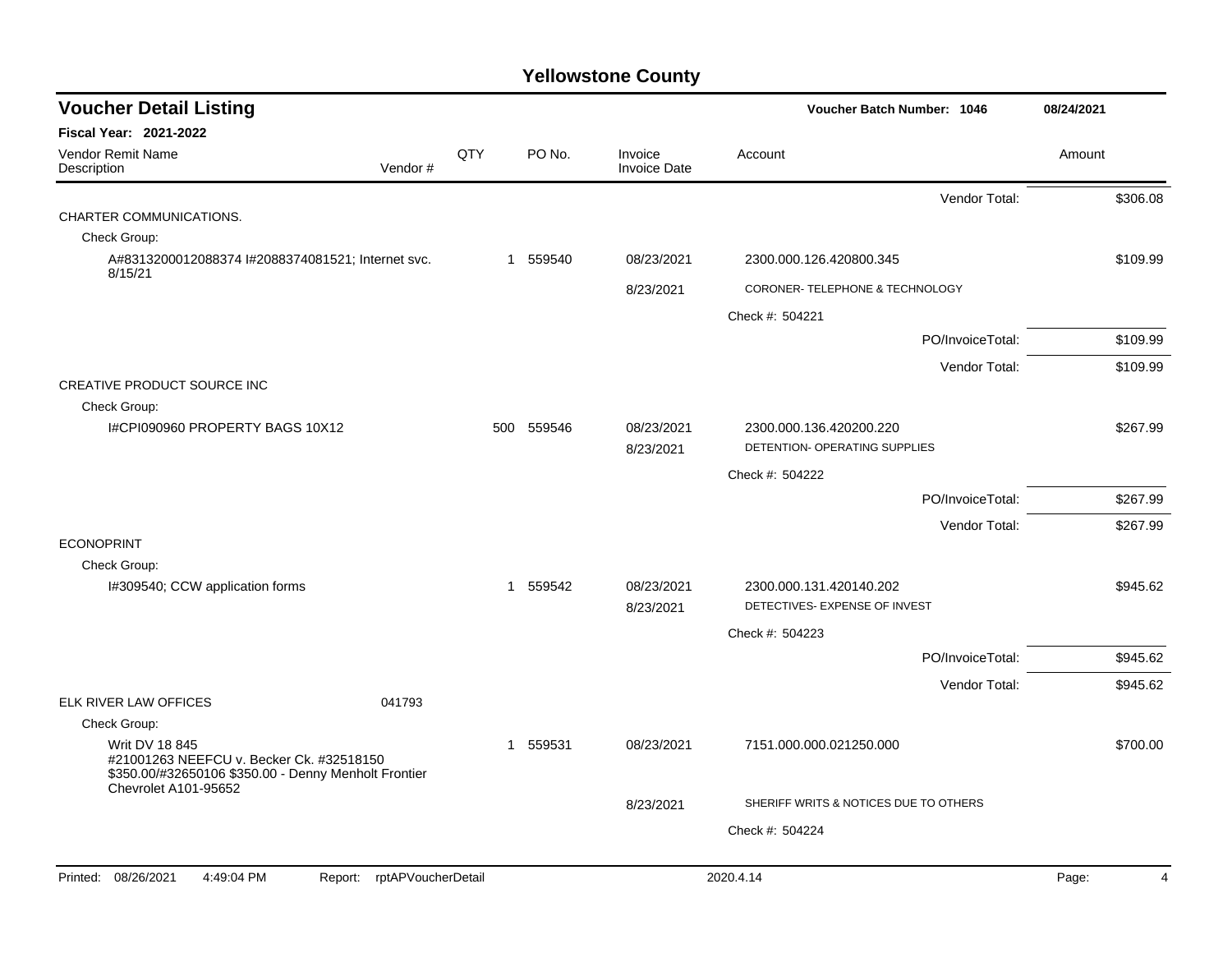| <b>Voucher Detail Listing</b>                                                                                                                     |                               |     |            |                                | Voucher Batch Number: 1046                               |                  | 08/24/2021 |                |
|---------------------------------------------------------------------------------------------------------------------------------------------------|-------------------------------|-----|------------|--------------------------------|----------------------------------------------------------|------------------|------------|----------------|
| <b>Fiscal Year: 2021-2022</b>                                                                                                                     |                               |     |            |                                |                                                          |                  |            |                |
| Vendor Remit Name<br>Description                                                                                                                  | Vendor#                       | QTY | PO No.     | Invoice<br><b>Invoice Date</b> | Account                                                  |                  | Amount     |                |
|                                                                                                                                                   |                               |     |            |                                |                                                          | Vendor Total:    |            | \$306.08       |
| CHARTER COMMUNICATIONS.                                                                                                                           |                               |     |            |                                |                                                          |                  |            |                |
| Check Group:                                                                                                                                      |                               |     |            |                                |                                                          |                  |            |                |
| A#8313200012088374 l#2088374081521; Internet svc.<br>8/15/21                                                                                      |                               |     | 1 559540   | 08/23/2021                     | 2300.000.126.420800.345                                  |                  |            | \$109.99       |
|                                                                                                                                                   |                               |     |            | 8/23/2021                      | CORONER- TELEPHONE & TECHNOLOGY                          |                  |            |                |
|                                                                                                                                                   |                               |     |            |                                | Check #: 504221                                          |                  |            |                |
|                                                                                                                                                   |                               |     |            |                                |                                                          | PO/InvoiceTotal: |            | \$109.99       |
|                                                                                                                                                   |                               |     |            |                                |                                                          | Vendor Total:    |            | \$109.99       |
| CREATIVE PRODUCT SOURCE INC                                                                                                                       |                               |     |            |                                |                                                          |                  |            |                |
| Check Group:                                                                                                                                      |                               |     |            |                                |                                                          |                  |            |                |
| I#CPI090960 PROPERTY BAGS 10X12                                                                                                                   |                               |     | 500 559546 | 08/23/2021<br>8/23/2021        | 2300.000.136.420200.220<br>DETENTION- OPERATING SUPPLIES |                  |            | \$267.99       |
|                                                                                                                                                   |                               |     |            |                                | Check #: 504222                                          |                  |            |                |
|                                                                                                                                                   |                               |     |            |                                |                                                          | PO/InvoiceTotal: |            | \$267.99       |
|                                                                                                                                                   |                               |     |            |                                |                                                          | Vendor Total:    |            | \$267.99       |
| <b>ECONOPRINT</b>                                                                                                                                 |                               |     |            |                                |                                                          |                  |            |                |
| Check Group:                                                                                                                                      |                               |     |            |                                |                                                          |                  |            |                |
| I#309540; CCW application forms                                                                                                                   |                               |     | 1 559542   | 08/23/2021<br>8/23/2021        | 2300.000.131.420140.202<br>DETECTIVES- EXPENSE OF INVEST |                  |            | \$945.62       |
|                                                                                                                                                   |                               |     |            |                                | Check #: 504223                                          |                  |            |                |
|                                                                                                                                                   |                               |     |            |                                |                                                          | PO/InvoiceTotal: |            | \$945.62       |
|                                                                                                                                                   |                               |     |            |                                |                                                          | Vendor Total:    |            | \$945.62       |
| ELK RIVER LAW OFFICES                                                                                                                             | 041793                        |     |            |                                |                                                          |                  |            |                |
| Check Group:                                                                                                                                      |                               |     |            |                                |                                                          |                  |            |                |
| Writ DV 18 845<br>#21001263 NEEFCU v. Becker Ck. #32518150<br>\$350.00/#32650106 \$350.00 - Denny Menholt Frontier<br><b>Chevrolet A101-95652</b> |                               |     | 1 559531   | 08/23/2021                     | 7151.000.000.021250.000                                  |                  |            | \$700.00       |
|                                                                                                                                                   |                               |     |            | 8/23/2021                      | SHERIFF WRITS & NOTICES DUE TO OTHERS                    |                  |            |                |
|                                                                                                                                                   |                               |     |            |                                | Check #: 504224                                          |                  |            |                |
|                                                                                                                                                   |                               |     |            |                                |                                                          |                  |            |                |
| 08/26/2021<br>4:49:04 PM<br>Printed:                                                                                                              | rptAPVoucherDetail<br>Report: |     |            |                                | 2020.4.14                                                |                  | Page:      | $\overline{4}$ |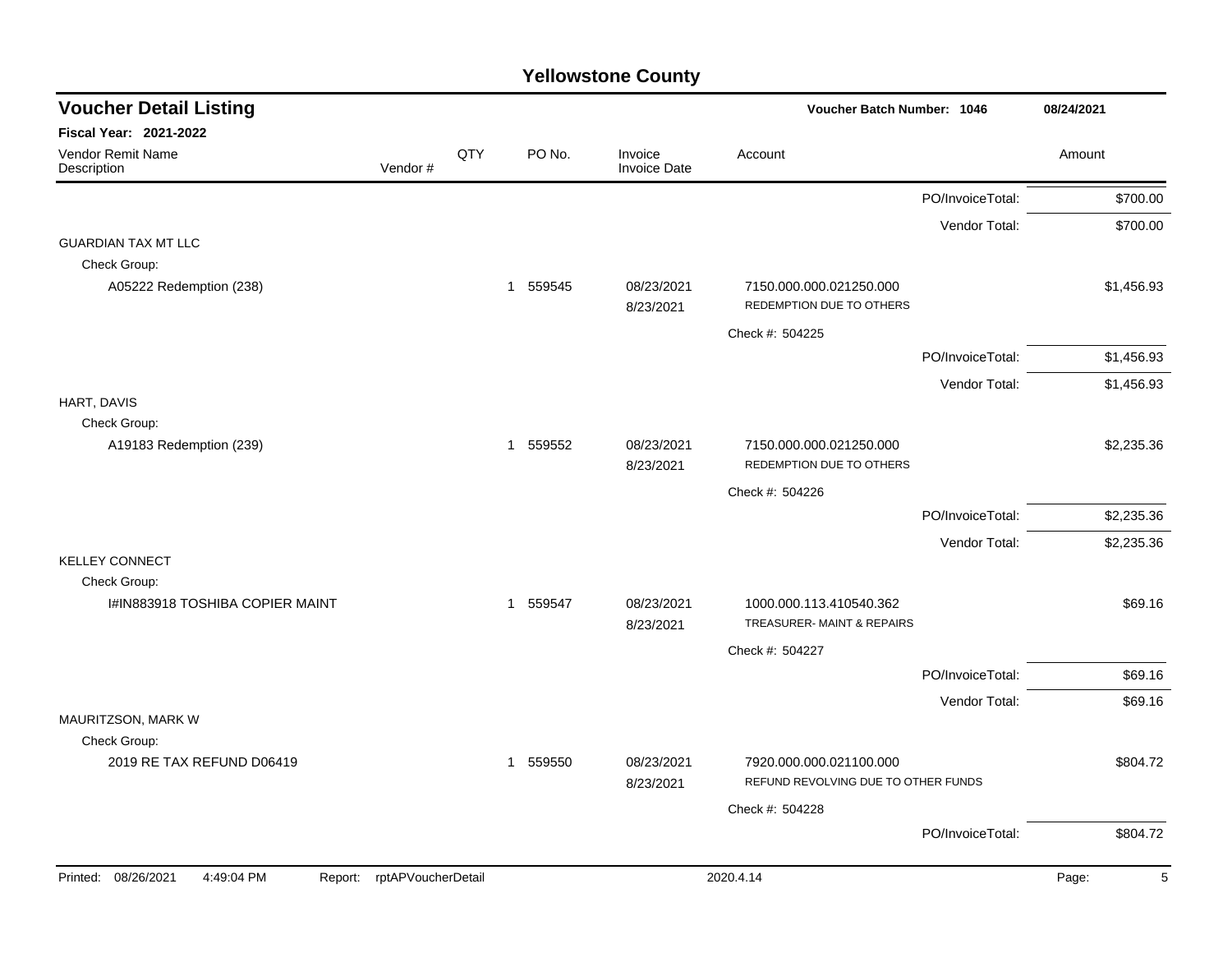| <b>Voucher Detail Listing</b>     |                            |     |          |                                | Voucher Batch Number: 1046                                     |                  | 08/24/2021 |  |
|-----------------------------------|----------------------------|-----|----------|--------------------------------|----------------------------------------------------------------|------------------|------------|--|
| <b>Fiscal Year: 2021-2022</b>     |                            |     |          |                                |                                                                |                  |            |  |
| Vendor Remit Name<br>Description  | Vendor#                    | QTY | PO No.   | Invoice<br><b>Invoice Date</b> | Account                                                        |                  | Amount     |  |
|                                   |                            |     |          |                                |                                                                | PO/InvoiceTotal: | \$700.00   |  |
|                                   |                            |     |          |                                |                                                                | Vendor Total:    | \$700.00   |  |
| <b>GUARDIAN TAX MT LLC</b>        |                            |     |          |                                |                                                                |                  |            |  |
| Check Group:                      |                            |     |          |                                |                                                                |                  |            |  |
| A05222 Redemption (238)           |                            |     | 1 559545 | 08/23/2021<br>8/23/2021        | 7150.000.000.021250.000<br>REDEMPTION DUE TO OTHERS            |                  | \$1,456.93 |  |
|                                   |                            |     |          |                                | Check #: 504225                                                |                  |            |  |
|                                   |                            |     |          |                                |                                                                | PO/InvoiceTotal: | \$1,456.93 |  |
|                                   |                            |     |          |                                |                                                                | Vendor Total:    | \$1,456.93 |  |
| HART, DAVIS                       |                            |     |          |                                |                                                                |                  |            |  |
| Check Group:                      |                            |     |          |                                |                                                                |                  |            |  |
| A19183 Redemption (239)           |                            |     | 1 559552 | 08/23/2021<br>8/23/2021        | 7150.000.000.021250.000<br>REDEMPTION DUE TO OTHERS            |                  | \$2,235.36 |  |
|                                   |                            |     |          |                                | Check #: 504226                                                |                  |            |  |
|                                   |                            |     |          |                                |                                                                | PO/InvoiceTotal: | \$2,235.36 |  |
|                                   |                            |     |          |                                |                                                                |                  |            |  |
| <b>KELLEY CONNECT</b>             |                            |     |          |                                |                                                                | Vendor Total:    | \$2,235.36 |  |
| Check Group:                      |                            |     |          |                                |                                                                |                  |            |  |
| I#IN883918 TOSHIBA COPIER MAINT   |                            |     | 1 559547 | 08/23/2021                     | 1000.000.113.410540.362                                        |                  | \$69.16    |  |
|                                   |                            |     |          | 8/23/2021                      | TREASURER- MAINT & REPAIRS                                     |                  |            |  |
|                                   |                            |     |          |                                | Check #: 504227                                                |                  |            |  |
|                                   |                            |     |          |                                |                                                                | PO/InvoiceTotal: | \$69.16    |  |
| MAURITZSON, MARK W                |                            |     |          |                                |                                                                | Vendor Total:    | \$69.16    |  |
| Check Group:                      |                            |     |          |                                |                                                                |                  |            |  |
| 2019 RE TAX REFUND D06419         |                            |     | 1 559550 | 08/23/2021<br>8/23/2021        | 7920.000.000.021100.000<br>REFUND REVOLVING DUE TO OTHER FUNDS |                  | \$804.72   |  |
|                                   |                            |     |          |                                | Check #: 504228                                                |                  |            |  |
|                                   |                            |     |          |                                |                                                                | PO/InvoiceTotal: | \$804.72   |  |
|                                   |                            |     |          |                                |                                                                |                  |            |  |
| Printed: 08/26/2021<br>4:49:04 PM | Report: rptAPVoucherDetail |     |          |                                | 2020.4.14                                                      |                  | Page:<br>5 |  |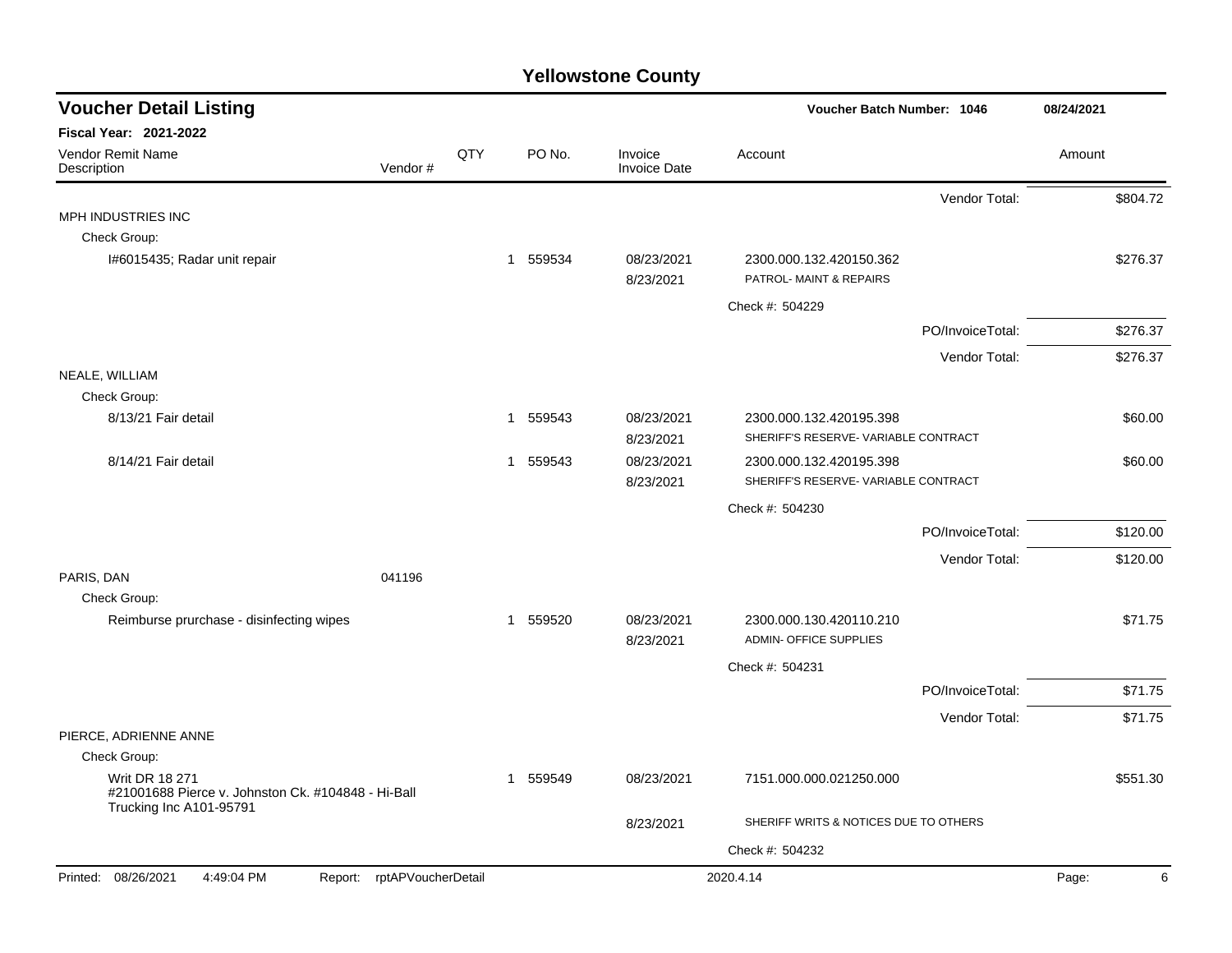| <b>Voucher Detail Listing</b>                                                                          |     |                        |                                | Voucher Batch Number: 1046                               |                  |            |  |
|--------------------------------------------------------------------------------------------------------|-----|------------------------|--------------------------------|----------------------------------------------------------|------------------|------------|--|
| <b>Fiscal Year: 2021-2022</b>                                                                          |     |                        |                                |                                                          |                  |            |  |
| Vendor Remit Name<br>Vendor#<br>Description                                                            | QTY | PO No.                 | Invoice<br><b>Invoice Date</b> | Account                                                  |                  | Amount     |  |
|                                                                                                        |     |                        |                                |                                                          | Vendor Total:    | \$804.72   |  |
| MPH INDUSTRIES INC                                                                                     |     |                        |                                |                                                          |                  |            |  |
| Check Group:                                                                                           |     |                        |                                |                                                          |                  |            |  |
| I#6015435; Radar unit repair                                                                           |     | 1 559534               | 08/23/2021<br>8/23/2021        | 2300.000.132.420150.362<br>PATROL- MAINT & REPAIRS       |                  | \$276.37   |  |
|                                                                                                        |     |                        |                                | Check #: 504229                                          |                  |            |  |
|                                                                                                        |     |                        |                                |                                                          | PO/InvoiceTotal: | \$276.37   |  |
|                                                                                                        |     |                        |                                |                                                          | Vendor Total:    | \$276.37   |  |
| NEALE, WILLIAM                                                                                         |     |                        |                                |                                                          |                  |            |  |
| Check Group:                                                                                           |     |                        |                                |                                                          |                  |            |  |
| 8/13/21 Fair detail                                                                                    |     | 1 559543               | 08/23/2021                     | 2300.000.132.420195.398                                  |                  | \$60.00    |  |
|                                                                                                        |     |                        | 8/23/2021                      | SHERIFF'S RESERVE- VARIABLE CONTRACT                     |                  |            |  |
| 8/14/21 Fair detail                                                                                    |     | 1 559543               | 08/23/2021                     | 2300.000.132.420195.398                                  |                  | \$60.00    |  |
|                                                                                                        |     |                        | 8/23/2021                      | SHERIFF'S RESERVE- VARIABLE CONTRACT                     |                  |            |  |
|                                                                                                        |     |                        |                                | Check #: 504230                                          |                  |            |  |
|                                                                                                        |     |                        |                                |                                                          | PO/InvoiceTotal: | \$120.00   |  |
|                                                                                                        |     |                        |                                |                                                          | Vendor Total:    | \$120.00   |  |
| PARIS, DAN<br>041196                                                                                   |     |                        |                                |                                                          |                  |            |  |
| Check Group:                                                                                           |     |                        |                                |                                                          |                  |            |  |
| Reimburse prurchase - disinfecting wipes                                                               |     | 559520<br>$\mathbf{1}$ | 08/23/2021<br>8/23/2021        | 2300.000.130.420110.210<br><b>ADMIN- OFFICE SUPPLIES</b> |                  | \$71.75    |  |
|                                                                                                        |     |                        |                                | Check #: 504231                                          |                  |            |  |
|                                                                                                        |     |                        |                                |                                                          | PO/InvoiceTotal: | \$71.75    |  |
|                                                                                                        |     |                        |                                |                                                          | Vendor Total:    | \$71.75    |  |
| PIERCE, ADRIENNE ANNE                                                                                  |     |                        |                                |                                                          |                  |            |  |
| Check Group:                                                                                           |     |                        |                                |                                                          |                  |            |  |
| <b>Writ DR 18 271</b><br>#21001688 Pierce v. Johnston Ck. #104848 - Hi-Ball<br>Trucking Inc A101-95791 |     | 559549<br>1            | 08/23/2021                     | 7151.000.000.021250.000                                  |                  | \$551.30   |  |
|                                                                                                        |     |                        | 8/23/2021                      | SHERIFF WRITS & NOTICES DUE TO OTHERS                    |                  |            |  |
|                                                                                                        |     |                        |                                | Check #: 504232                                          |                  |            |  |
| Printed: 08/26/2021<br>Report: rptAPVoucherDetail<br>4:49:04 PM                                        |     |                        |                                | 2020.4.14                                                |                  | 6<br>Page: |  |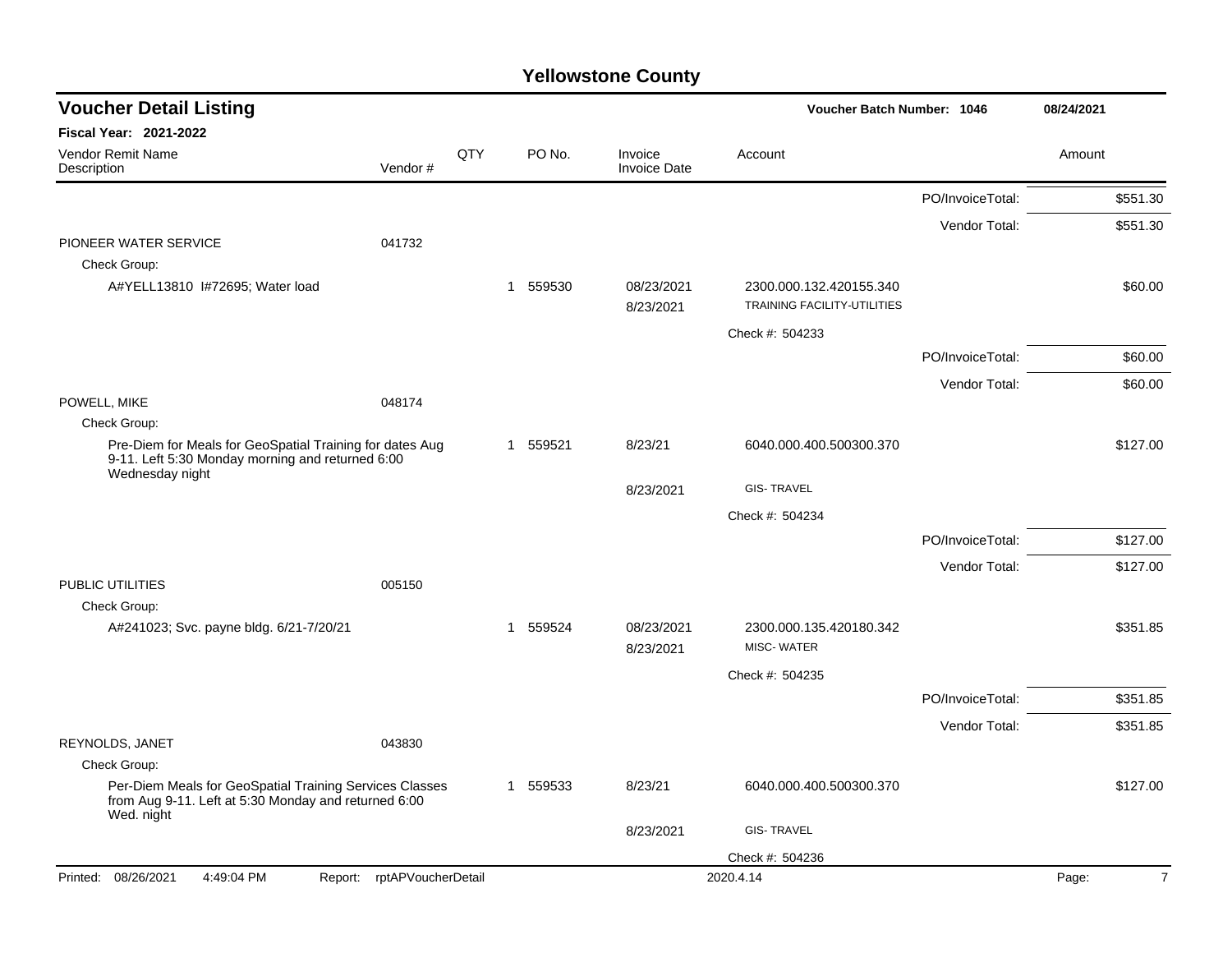| <b>Voucher Detail Listing</b>                                                                                                   |         |     |                |        |                                | Voucher Batch Number: 1046                             |                  | 08/24/2021 |                |
|---------------------------------------------------------------------------------------------------------------------------------|---------|-----|----------------|--------|--------------------------------|--------------------------------------------------------|------------------|------------|----------------|
| <b>Fiscal Year: 2021-2022</b>                                                                                                   |         |     |                |        |                                |                                                        |                  |            |                |
| Vendor Remit Name<br>Description                                                                                                | Vendor# | QTY |                | PO No. | Invoice<br><b>Invoice Date</b> | Account                                                |                  | Amount     |                |
|                                                                                                                                 |         |     |                |        |                                |                                                        | PO/InvoiceTotal: |            | \$551.30       |
|                                                                                                                                 |         |     |                |        |                                |                                                        | Vendor Total:    |            | \$551.30       |
| PIONEER WATER SERVICE                                                                                                           | 041732  |     |                |        |                                |                                                        |                  |            |                |
| Check Group:                                                                                                                    |         |     |                |        |                                |                                                        |                  |            |                |
| A#YELL13810 I#72695; Water load                                                                                                 |         |     | $\mathbf{1}$   | 559530 | 08/23/2021<br>8/23/2021        | 2300.000.132.420155.340<br>TRAINING FACILITY-UTILITIES |                  |            | \$60.00        |
|                                                                                                                                 |         |     |                |        |                                | Check #: 504233                                        |                  |            |                |
|                                                                                                                                 |         |     |                |        |                                |                                                        | PO/InvoiceTotal: |            | \$60.00        |
|                                                                                                                                 |         |     |                |        |                                |                                                        | Vendor Total:    |            | \$60.00        |
| POWELL, MIKE                                                                                                                    | 048174  |     |                |        |                                |                                                        |                  |            |                |
| Check Group:                                                                                                                    |         |     |                |        |                                |                                                        |                  |            |                |
| Pre-Diem for Meals for GeoSpatial Training for dates Aug<br>9-11. Left 5:30 Monday morning and returned 6:00<br>Wednesday night |         |     | 1              | 559521 | 8/23/21                        | 6040.000.400.500300.370                                |                  |            | \$127.00       |
|                                                                                                                                 |         |     |                |        | 8/23/2021                      | <b>GIS-TRAVEL</b>                                      |                  |            |                |
|                                                                                                                                 |         |     |                |        |                                | Check #: 504234                                        |                  |            |                |
|                                                                                                                                 |         |     |                |        |                                |                                                        | PO/InvoiceTotal: |            | \$127.00       |
|                                                                                                                                 |         |     |                |        |                                |                                                        | Vendor Total:    |            | \$127.00       |
| PUBLIC UTILITIES                                                                                                                | 005150  |     |                |        |                                |                                                        |                  |            |                |
| Check Group:                                                                                                                    |         |     |                |        |                                |                                                        |                  |            |                |
| A#241023; Svc. payne bldg. 6/21-7/20/21                                                                                         |         |     | $\overline{1}$ | 559524 | 08/23/2021<br>8/23/2021        | 2300.000.135.420180.342<br><b>MISC-WATER</b>           |                  |            | \$351.85       |
|                                                                                                                                 |         |     |                |        |                                | Check #: 504235                                        |                  |            |                |
|                                                                                                                                 |         |     |                |        |                                |                                                        | PO/InvoiceTotal: |            | \$351.85       |
|                                                                                                                                 |         |     |                |        |                                |                                                        | Vendor Total:    |            | \$351.85       |
| REYNOLDS, JANET                                                                                                                 | 043830  |     |                |        |                                |                                                        |                  |            |                |
| Check Group:                                                                                                                    |         |     |                |        |                                |                                                        |                  |            |                |
| Per-Diem Meals for GeoSpatial Training Services Classes<br>from Aug 9-11. Left at 5:30 Monday and returned 6:00<br>Wed. night   |         |     | 1              | 559533 | 8/23/21                        | 6040.000.400.500300.370                                |                  |            | \$127.00       |
|                                                                                                                                 |         |     |                |        | 8/23/2021                      | <b>GIS-TRAVEL</b>                                      |                  |            |                |
|                                                                                                                                 |         |     |                |        |                                | Check #: 504236                                        |                  |            |                |
| Printed: 08/26/2021<br>4:49:04 PM<br>Report: rptAPVoucherDetail                                                                 |         |     |                |        |                                | 2020.4.14                                              |                  | Page:      | $\overline{7}$ |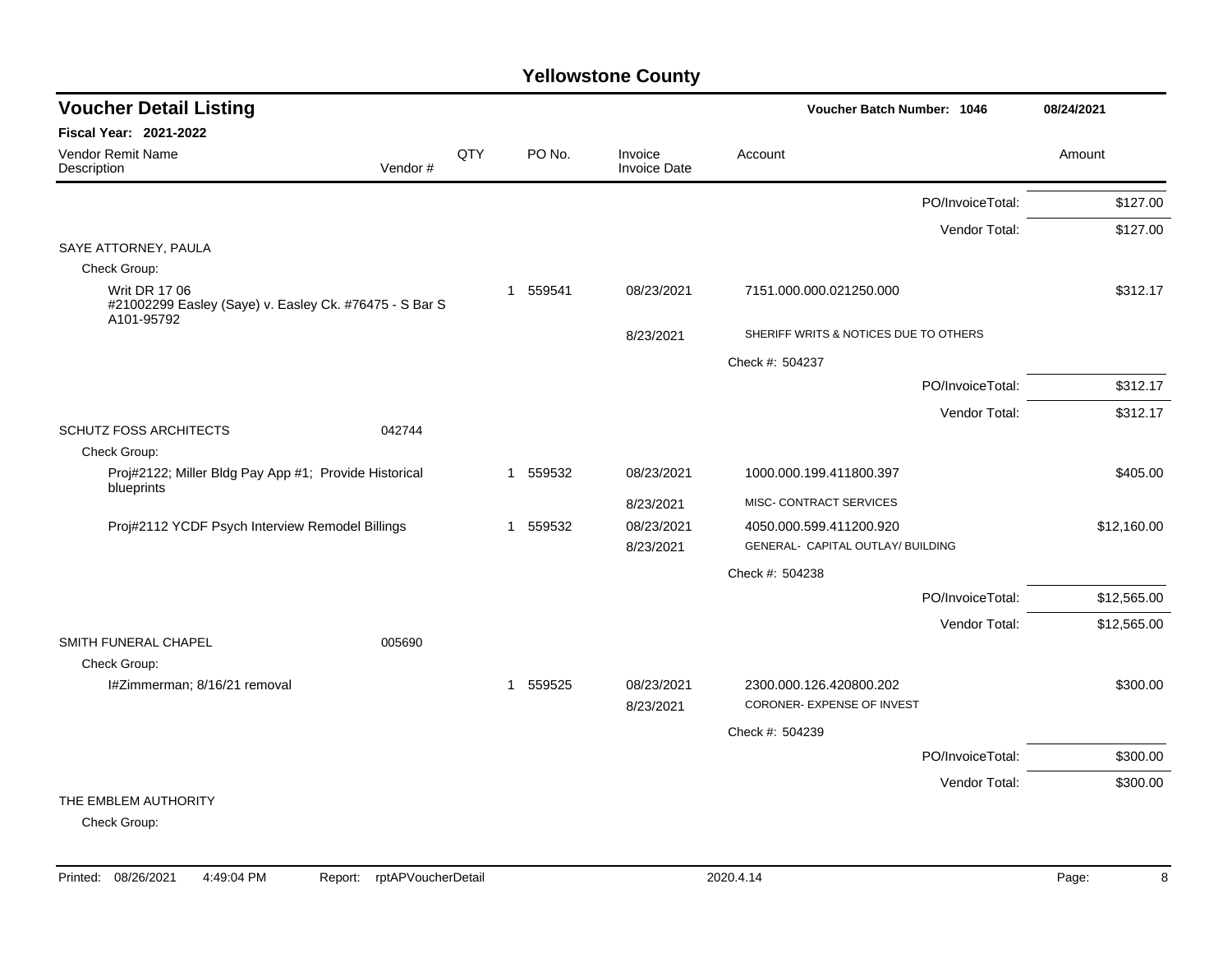| <b>Voucher Detail Listing</b>                                                                  |         |     |                        |                         | <b>Voucher Batch Number: 1046</b>                            |                  | 08/24/2021  |
|------------------------------------------------------------------------------------------------|---------|-----|------------------------|-------------------------|--------------------------------------------------------------|------------------|-------------|
| Fiscal Year: 2021-2022                                                                         |         |     |                        |                         |                                                              |                  |             |
| Vendor Remit Name<br>Description                                                               | Vendor# | QTY | PO No.                 | Invoice<br>Invoice Date | Account                                                      |                  | Amount      |
|                                                                                                |         |     |                        |                         |                                                              | PO/InvoiceTotal: | \$127.00    |
|                                                                                                |         |     |                        |                         |                                                              | Vendor Total:    | \$127.00    |
| SAYE ATTORNEY, PAULA                                                                           |         |     |                        |                         |                                                              |                  |             |
| Check Group:<br><b>Writ DR 17 06</b><br>#21002299 Easley (Saye) v. Easley Ck. #76475 - S Bar S |         |     | 559541<br>-1           | 08/23/2021              | 7151.000.000.021250.000                                      |                  | \$312.17    |
| A101-95792                                                                                     |         |     |                        | 8/23/2021               | SHERIFF WRITS & NOTICES DUE TO OTHERS                        |                  |             |
|                                                                                                |         |     |                        |                         | Check #: 504237                                              |                  |             |
|                                                                                                |         |     |                        |                         |                                                              | PO/InvoiceTotal: | \$312.17    |
|                                                                                                |         |     |                        |                         |                                                              | Vendor Total:    | \$312.17    |
| <b>SCHUTZ FOSS ARCHITECTS</b>                                                                  | 042744  |     |                        |                         |                                                              |                  |             |
| Check Group:                                                                                   |         |     |                        |                         |                                                              |                  |             |
| Proj#2122; Miller Bldg Pay App #1; Provide Historical<br>blueprints                            |         |     | 559532<br>$\mathbf{1}$ | 08/23/2021              | 1000.000.199.411800.397                                      |                  | \$405.00    |
|                                                                                                |         |     |                        | 8/23/2021               | MISC- CONTRACT SERVICES                                      |                  |             |
| Proj#2112 YCDF Psych Interview Remodel Billings                                                |         |     | 559532<br>-1           | 08/23/2021<br>8/23/2021 | 4050.000.599.411200.920<br>GENERAL- CAPITAL OUTLAY/ BUILDING |                  | \$12,160.00 |
|                                                                                                |         |     |                        |                         | Check #: 504238                                              |                  |             |
|                                                                                                |         |     |                        |                         |                                                              | PO/InvoiceTotal: | \$12,565.00 |
| SMITH FUNERAL CHAPEL                                                                           | 005690  |     |                        |                         |                                                              | Vendor Total:    | \$12,565.00 |
| Check Group:                                                                                   |         |     |                        |                         |                                                              |                  |             |
| I#Zimmerman; 8/16/21 removal                                                                   |         |     | 559525<br>$\mathbf 1$  | 08/23/2021<br>8/23/2021 | 2300.000.126.420800.202<br>CORONER- EXPENSE OF INVEST        |                  | \$300.00    |
|                                                                                                |         |     |                        |                         | Check #: 504239                                              |                  |             |
|                                                                                                |         |     |                        |                         |                                                              | PO/InvoiceTotal: | \$300.00    |
|                                                                                                |         |     |                        |                         |                                                              | Vendor Total:    | \$300.00    |
| THE EMBLEM AUTHORITY                                                                           |         |     |                        |                         |                                                              |                  |             |
| Check Group:                                                                                   |         |     |                        |                         |                                                              |                  |             |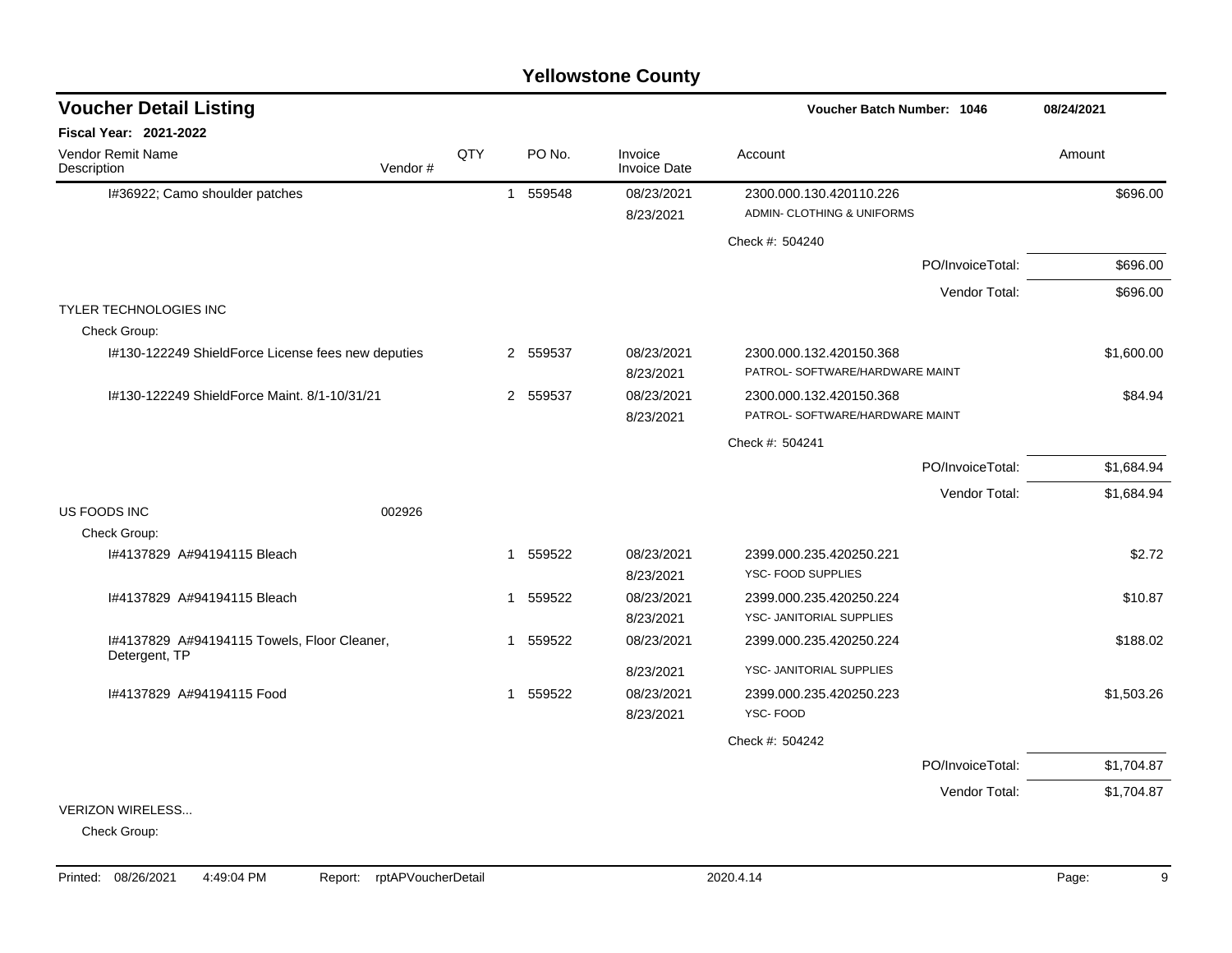### I#36922; Camo shoulder patches 1 1 559548 08/23/2021 2300.000.130.420110.226 5696.00 8/23/2021 ADMIN- CLOTHING & UNIFORMS Check #: 504240 PO/InvoiceTotal: \$696.00 Vendor Total: \$696.00 TYLER TECHNOLOGIES INC Check Group: I#130-122249 ShieldForce License fees new deputies 2 559537 08/23/2021 2300.000.132.420150.368 \$1,600.00 8/23/2021 PATROL- SOFTWARE/HARDWARE MAINT I#130-122249 ShieldForce Maint. 8/1-10/31/21 2 559537 08/23/2021 2300.000.132.420150.368 \$84.94 8/23/2021 PATROL- SOFTWARE/HARDWARE MAINT Check #: 504241 PO/InvoiceTotal: \$1,684.94 Vendor Total: \$1,684.94 US FOODS INC 002926 Check Group: I#4137829 A#94194115 Bleach 1 559522 08/23/2021 2399.000.235.420250.221 \$2.72 8/23/2021 YSC- FOOD SUPPLIES I#4137829 A#94194115 Bleach 1 559522 08/23/2021 2399.000.235.420250.224 \$10.87 8/23/2021 YSC- JANITORIAL SUPPLIES I#4137829 A#94194115 Towels, Floor Cleaner, Detergent, TP 1 559522 08/23/2021 2399.000.235.420250.224 \$188.02 8/23/2021 YSC- JANITORIAL SUPPLIES I#4137829 A#94194115 Food 1 559522 08/23/2021 2399.000.235.420250.223 \$1,503.26 8/23/2021 YSC- FOOD Check #: 504242 PO/InvoiceTotal: \$1,704.87 Vendor Total: \$1,704.87 VERIZON WIRELESS... Check Group: **Voucher Batch Number: Yellowstone County** Vendor Remit Name **Description Voucher Detail Listing Fiscal Year: 2021-2022 1046 08/24/2021** PO No. Invoice Account Amount Amount Amount Amount Vendor # **QTY** Invoice Date

### Printed: 08/26/2021 4:49:04 PM Report: rptAPVoucherDetail 2020.4.14 2020.4.14 Page: 9